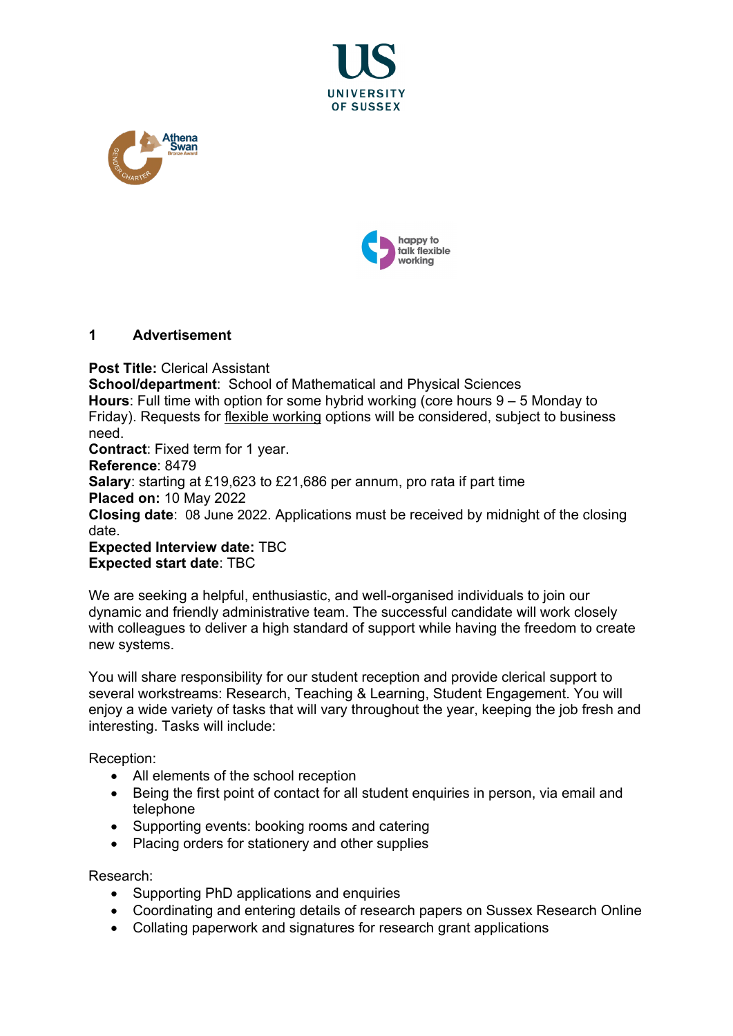





## **1 Advertisement**

**Post Title:** Clerical Assistant **School/department**: School of Mathematical and Physical Sciences **Hours**: Full time with option for some hybrid working (core hours 9 – 5 Monday to Friday). Requests for [flexible working](http://www.sussex.ac.uk/humanresources/personnel/flexible-working) options will be considered, subject to business need. **Contract**: Fixed term for 1 year. **Reference**: 8479 **Salary**: starting at £19,623 to £21,686 per annum, pro rata if part time **Placed on:** 10 May 2022

**Closing date**: 08 June 2022. Applications must be received by midnight of the closing date.

**Expected Interview date:** TBC **Expected start date**: TBC

We are seeking a helpful, enthusiastic, and well-organised individuals to join our dynamic and friendly administrative team. The successful candidate will work closely with colleagues to deliver a high standard of support while having the freedom to create new systems.

You will share responsibility for our student reception and provide clerical support to several workstreams: Research, Teaching & Learning, Student Engagement. You will enjoy a wide variety of tasks that will vary throughout the year, keeping the job fresh and interesting. Tasks will include:

Reception:

- All elements of the school reception
- Being the first point of contact for all student enquiries in person, via email and telephone
- Supporting events: booking rooms and catering
- Placing orders for stationery and other supplies

Research:

- Supporting PhD applications and enquiries
- Coordinating and entering details of research papers on Sussex Research Online
- Collating paperwork and signatures for research grant applications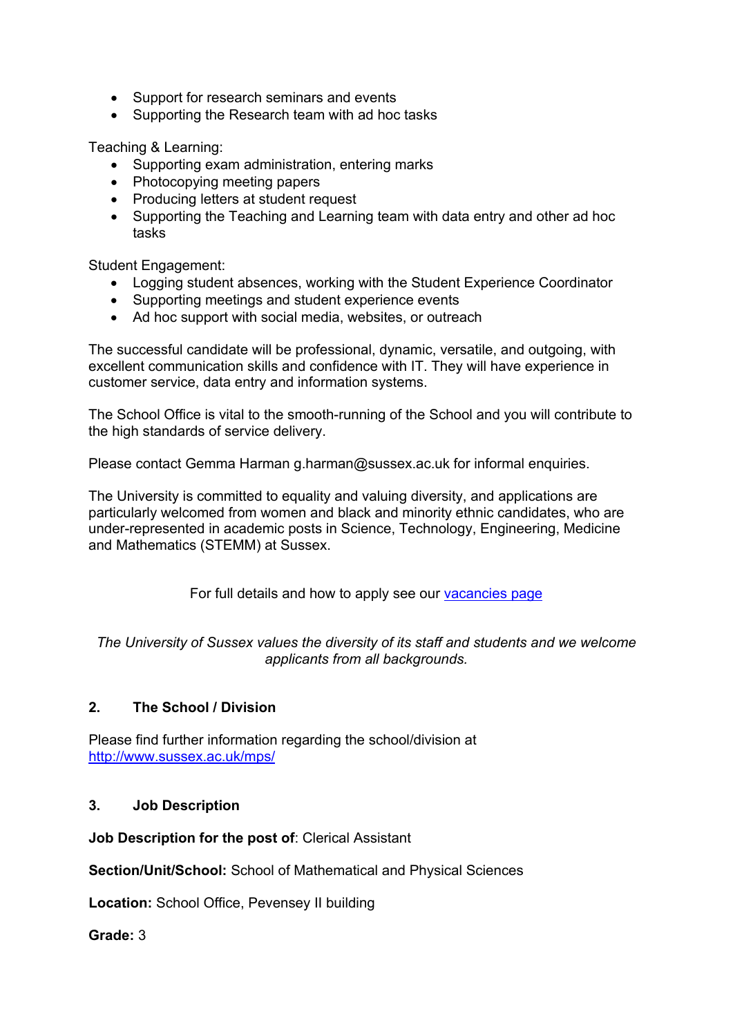- Support for research seminars and events
- Supporting the Research team with ad hoc tasks

Teaching & Learning:

- Supporting exam administration, entering marks
- Photocopying meeting papers
- Producing letters at student request
- Supporting the Teaching and Learning team with data entry and other ad hoc tasks

Student Engagement:

- Logging student absences, working with the Student Experience Coordinator
- Supporting meetings and student experience events
- Ad hoc support with social media, websites, or outreach

The successful candidate will be professional, dynamic, versatile, and outgoing, with excellent communication skills and confidence with IT. They will have experience in customer service, data entry and information systems.

The School Office is vital to the smooth-running of the School and you will contribute to the high standards of service delivery.

Please contact Gemma Harman g.harman@sussex.ac.uk for informal enquiries.

The University is committed to equality and valuing diversity, and applications are particularly welcomed from women and black and minority ethnic candidates, who are under-represented in academic posts in Science, Technology, Engineering, Medicine and Mathematics (STEMM) at Sussex.

For full details and how to apply see our [vacancies page](http://www.sussex.ac.uk/about/jobs)

*The University of Sussex values the diversity of its staff and students and we welcome applicants from all backgrounds.*

# **2. The School / Division**

Please find further information regarding the school/division at <http://www.sussex.ac.uk/mps/>

#### **3. Job Description**

**Job Description for the post of**: Clerical Assistant

**Section/Unit/School:** School of Mathematical and Physical Sciences

**Location:** School Office, Pevensey II building

**Grade:** 3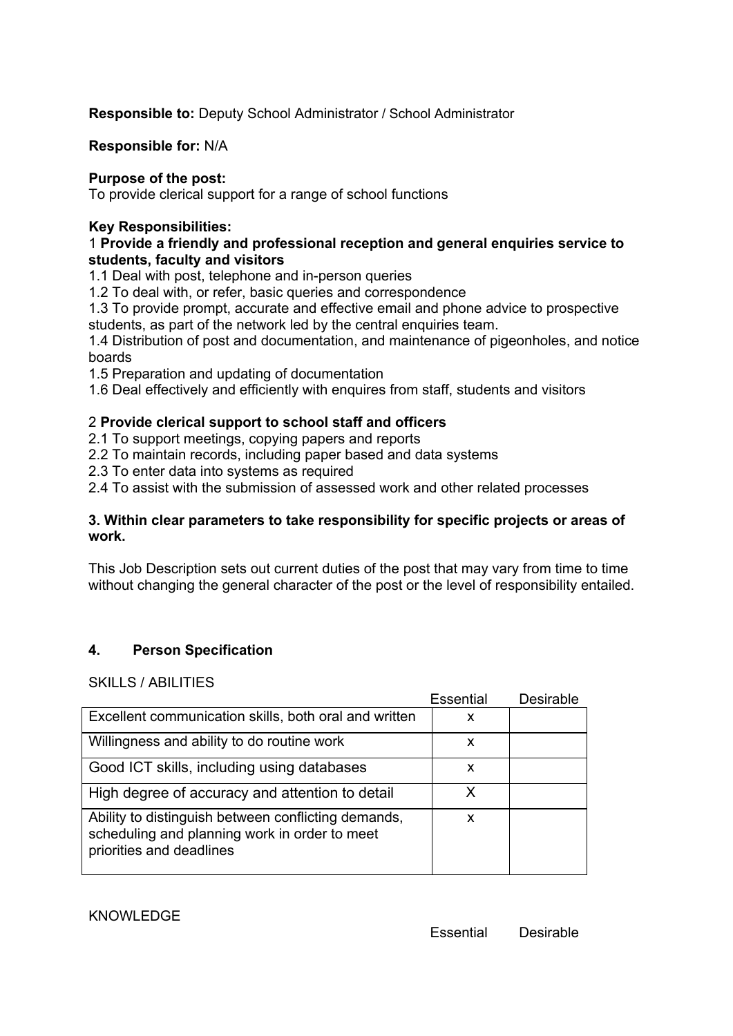**Responsible to:** Deputy School Administrator / School Administrator

**Responsible for:** N/A

## **Purpose of the post:**

To provide clerical support for a range of school functions

## **Key Responsibilities:**

## 1 **Provide a friendly and professional reception and general enquiries service to students, faculty and visitors**

1.1 Deal with post, telephone and in-person queries

1.2 To deal with, or refer, basic queries and correspondence

1.3 To provide prompt, accurate and effective email and phone advice to prospective students, as part of the network led by the central enquiries team.

1.4 Distribution of post and documentation, and maintenance of pigeonholes, and notice boards

1.5 Preparation and updating of documentation

1.6 Deal effectively and efficiently with enquires from staff, students and visitors

## 2 **Provide clerical support to school staff and officers**

2.1 To support meetings, copying papers and reports

2.2 To maintain records, including paper based and data systems

2.3 To enter data into systems as required

2.4 To assist with the submission of assessed work and other related processes

## **3. Within clear parameters to take responsibility for specific projects or areas of work.**

This Job Description sets out current duties of the post that may vary from time to time without changing the general character of the post or the level of responsibility entailed.

# **4. Person Specification**

SKILLS / ABILITIES

|                                                                                                                                  | Essential | Desirable |
|----------------------------------------------------------------------------------------------------------------------------------|-----------|-----------|
| Excellent communication skills, both oral and written                                                                            | x         |           |
| Willingness and ability to do routine work                                                                                       | x         |           |
| Good ICT skills, including using databases                                                                                       | x         |           |
| High degree of accuracy and attention to detail                                                                                  | x         |           |
| Ability to distinguish between conflicting demands,<br>scheduling and planning work in order to meet<br>priorities and deadlines | x         |           |

#### KNOWL FDGF